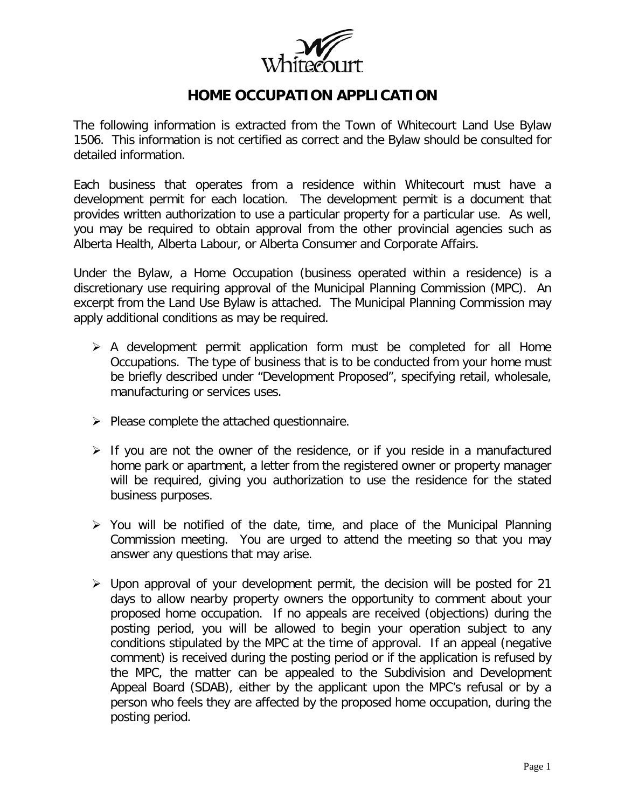

The following information is extracted from the Town of Whitecourt Land Use Bylaw 1506. This information is not certified as correct and the Bylaw should be consulted for detailed information.

Each business that operates from a residence within Whitecourt must have a development permit for each location. The development permit is a document that provides written authorization to use a particular property for a particular use. As well, you may be required to obtain approval from the other provincial agencies such as Alberta Health, Alberta Labour, or Alberta Consumer and Corporate Affairs.

Under the Bylaw, a Home Occupation (business operated within a residence) is a discretionary use requiring approval of the Municipal Planning Commission (MPC). An excerpt from the Land Use Bylaw is attached. The Municipal Planning Commission may apply additional conditions as may be required.

- $\triangleright$  A development permit application form must be completed for all Home Occupations. The type of business that is to be conducted from your home must be briefly described under "Development Proposed", specifying retail, wholesale, manufacturing or services uses.
- $\triangleright$  Please complete the attached questionnaire.
- $\triangleright$  If you are not the owner of the residence, or if you reside in a manufactured home park or apartment, a letter from the registered owner or property manager will be required, giving you authorization to use the residence for the stated business purposes.
- $\triangleright$  You will be notified of the date, time, and place of the Municipal Planning Commission meeting. You are urged to attend the meeting so that you may answer any questions that may arise.
- $\triangleright$  Upon approval of your development permit, the decision will be posted for 21 days to allow nearby property owners the opportunity to comment about your proposed home occupation. If no appeals are received (objections) during the posting period, you will be allowed to begin your operation subject to any conditions stipulated by the MPC at the time of approval. If an appeal (negative comment) is received during the posting period or if the application is refused by the MPC, the matter can be appealed to the Subdivision and Development Appeal Board (SDAB), either by the applicant upon the MPC's refusal or by a person who feels they are affected by the proposed home occupation, during the posting period.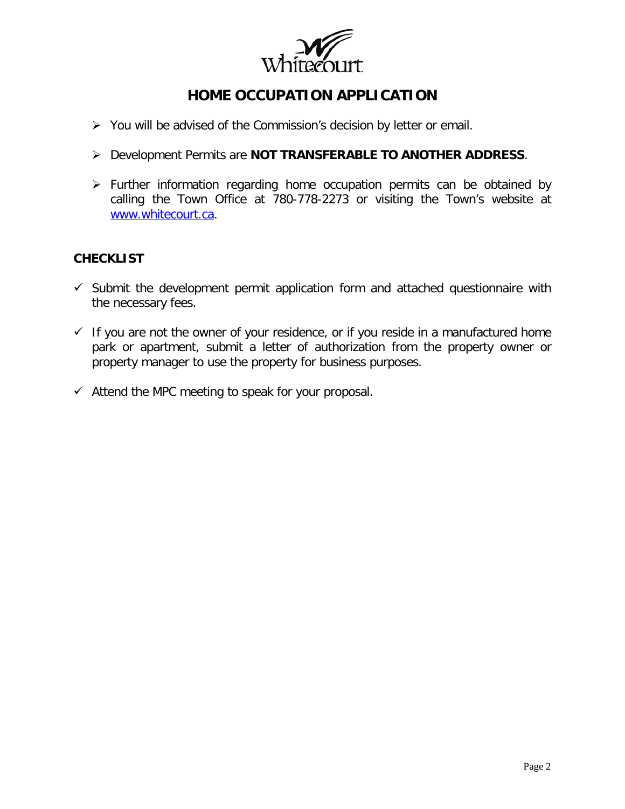

- $\triangleright$  You will be advised of the Commission's decision by letter or email.
- Development Permits are **NOT TRANSFERABLE TO ANOTHER ADDRESS**.
- $\triangleright$  Further information regarding home occupation permits can be obtained by calling the Town Office at 780-778-2273 or visiting the Town's website at [www.whitecourt.ca.](http://www.whitecourt.ca/)

### **CHECKLIST**

- $\checkmark$  Submit the development permit application form and attached questionnaire with the necessary fees.
- $\checkmark$  If you are not the owner of your residence, or if you reside in a manufactured home park or apartment, submit a letter of authorization from the property owner or property manager to use the property for business purposes.
- $\checkmark$  Attend the MPC meeting to speak for your proposal.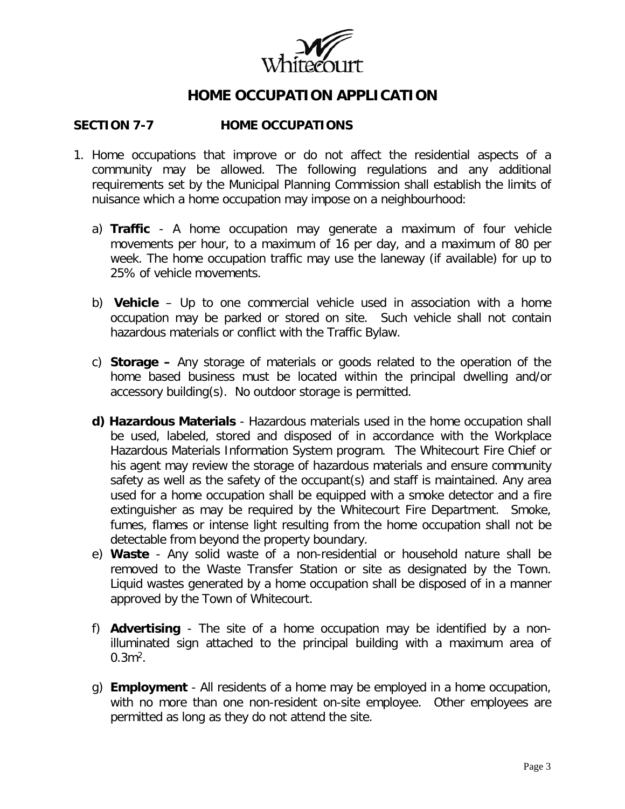

#### **SECTION 7-7 HOME OCCUPATIONS**

- 1. Home occupations that improve or do not affect the residential aspects of a community may be allowed. The following regulations and any additional requirements set by the Municipal Planning Commission shall establish the limits of nuisance which a home occupation may impose on a neighbourhood:
	- a) **Traffic** A home occupation may generate a maximum of four vehicle movements per hour, to a maximum of 16 per day, and a maximum of 80 per week. The home occupation traffic may use the laneway (if available) for up to 25% of vehicle movements.
	- b) **Vehicle** Up to one commercial vehicle used in association with a home occupation may be parked or stored on site. Such vehicle shall not contain hazardous materials or conflict with the Traffic Bylaw.
	- c) **Storage –** Any storage of materials or goods related to the operation of the home based business must be located within the principal dwelling and/or accessory building(s). No outdoor storage is permitted.
	- **d) Hazardous Materials** Hazardous materials used in the home occupation shall be used, labeled, stored and disposed of in accordance with the Workplace Hazardous Materials Information System program. The Whitecourt Fire Chief or his agent may review the storage of hazardous materials and ensure community safety as well as the safety of the occupant(s) and staff is maintained. Any area used for a home occupation shall be equipped with a smoke detector and a fire extinguisher as may be required by the Whitecourt Fire Department. Smoke, fumes, flames or intense light resulting from the home occupation shall not be detectable from beyond the property boundary.
	- e) **Waste** Any solid waste of a non-residential or household nature shall be removed to the Waste Transfer Station or site as designated by the Town. Liquid wastes generated by a home occupation shall be disposed of in a manner approved by the Town of Whitecourt.
	- f) **Advertising** The site of a home occupation may be identified by a nonilluminated sign attached to the principal building with a maximum area of  $0.3<sup>2</sup>$ .
	- g) **Employment** All residents of a home may be employed in a home occupation, with no more than one non-resident on-site employee. Other employees are permitted as long as they do not attend the site.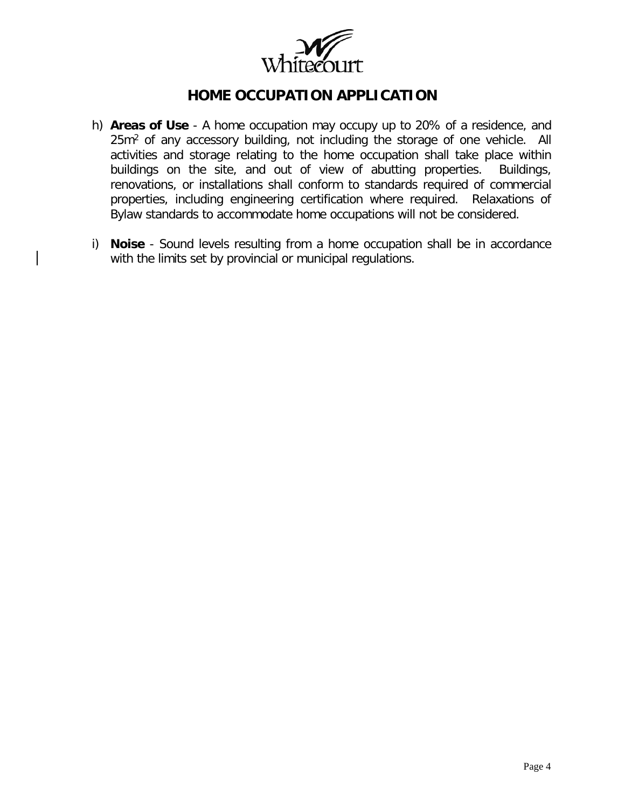

- h) **Areas of Use** A home occupation may occupy up to 20% of a residence, and 25m<sup>2</sup> of any accessory building, not including the storage of one vehicle. All activities and storage relating to the home occupation shall take place within buildings on the site, and out of view of abutting properties. Buildings, renovations, or installations shall conform to standards required of commercial properties, including engineering certification where required. Relaxations of Bylaw standards to accommodate home occupations will not be considered.
- i) **Noise** Sound levels resulting from a home occupation shall be in accordance with the limits set by provincial or municipal regulations.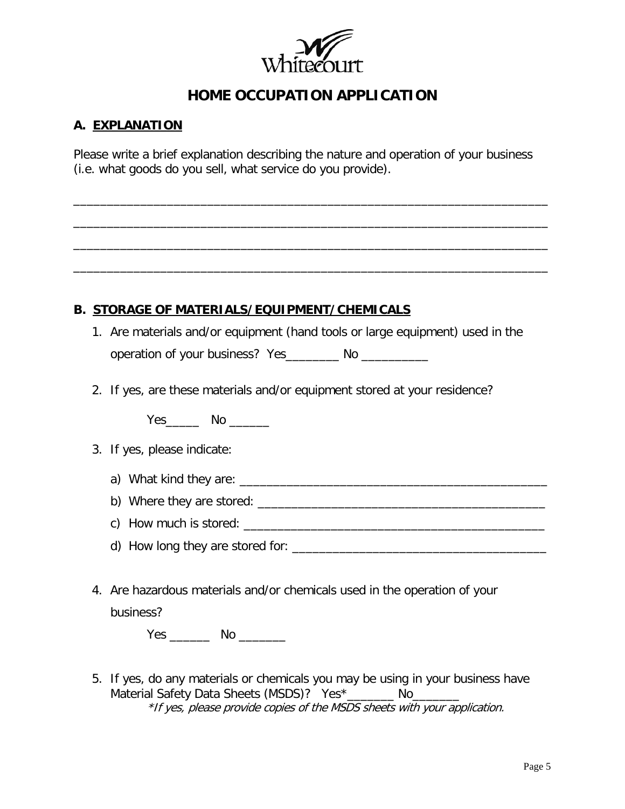

### **A. EXPLANATION**

Please write a brief explanation describing the nature and operation of your business (i.e. what goods do you sell, what service do you provide).

\_\_\_\_\_\_\_\_\_\_\_\_\_\_\_\_\_\_\_\_\_\_\_\_\_\_\_\_\_\_\_\_\_\_\_\_\_\_\_\_\_\_\_\_\_\_\_\_\_\_\_\_\_\_\_\_\_\_\_\_\_\_\_\_\_\_\_\_\_\_\_

\_\_\_\_\_\_\_\_\_\_\_\_\_\_\_\_\_\_\_\_\_\_\_\_\_\_\_\_\_\_\_\_\_\_\_\_\_\_\_\_\_\_\_\_\_\_\_\_\_\_\_\_\_\_\_\_\_\_\_\_\_\_\_\_\_\_\_\_\_\_\_

\_\_\_\_\_\_\_\_\_\_\_\_\_\_\_\_\_\_\_\_\_\_\_\_\_\_\_\_\_\_\_\_\_\_\_\_\_\_\_\_\_\_\_\_\_\_\_\_\_\_\_\_\_\_\_\_\_\_\_\_\_\_\_\_\_\_\_\_\_\_\_

\_\_\_\_\_\_\_\_\_\_\_\_\_\_\_\_\_\_\_\_\_\_\_\_\_\_\_\_\_\_\_\_\_\_\_\_\_\_\_\_\_\_\_\_\_\_\_\_\_\_\_\_\_\_\_\_\_\_\_\_\_\_\_\_\_\_\_\_\_\_\_

### **B. STORAGE OF MATERIALS/EQUIPMENT/CHEMICALS**

- 1. Are materials and/or equipment (hand tools or large equipment) used in the operation of your business? Yes\_\_\_\_\_\_\_\_ No \_\_\_\_\_\_\_\_\_\_\_
- 2. If yes, are these materials and/or equipment stored at your residence?

Yes\_\_\_\_\_\_\_ No \_\_\_\_\_\_

|  | 3. If yes, please indicate: |
|--|-----------------------------|
|  |                             |

- a) What kind they are: \_\_\_\_\_\_\_\_\_\_\_\_\_\_\_\_\_\_\_\_\_\_\_\_\_\_\_\_\_\_\_\_\_\_\_\_\_\_\_\_\_\_\_\_\_\_
- b) Where they are stored:
- c) How much is stored:
- d) How long they are stored for: \_\_\_\_\_\_\_\_\_\_\_\_\_\_\_\_\_\_\_\_\_\_\_\_\_\_\_\_\_\_\_\_\_\_\_\_\_\_
- 4. Are hazardous materials and/or chemicals used in the operation of your business?

Yes \_\_\_\_\_\_ No \_\_\_\_\_\_\_

5. If yes, do any materials or chemicals you may be using in your business have Material Safety Data Sheets (MSDS)? Yes\*\_\_\_\_\_\_\_ No\_\_\_\_\_\_\_ \*If yes, please provide copies of the MSDS sheets with your application.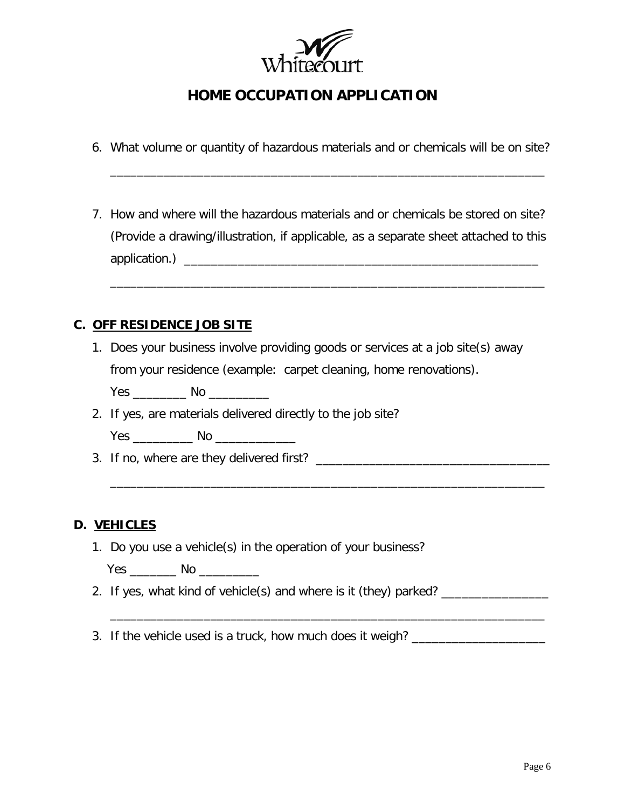

6. What volume or quantity of hazardous materials and or chemicals will be on site?

\_\_\_\_\_\_\_\_\_\_\_\_\_\_\_\_\_\_\_\_\_\_\_\_\_\_\_\_\_\_\_\_\_\_\_\_\_\_\_\_\_\_\_\_\_\_\_\_\_\_\_\_\_\_\_\_\_\_\_\_\_\_\_\_\_

7. How and where will the hazardous materials and or chemicals be stored on site? (Provide a drawing/illustration, if applicable, as a separate sheet attached to this application.) \_\_\_\_\_\_\_\_\_\_\_\_\_\_\_\_\_\_\_\_\_\_\_\_\_\_\_\_\_\_\_\_\_\_\_\_\_\_\_\_\_\_\_\_\_\_\_\_\_\_\_\_\_

\_\_\_\_\_\_\_\_\_\_\_\_\_\_\_\_\_\_\_\_\_\_\_\_\_\_\_\_\_\_\_\_\_\_\_\_\_\_\_\_\_\_\_\_\_\_\_\_\_\_\_\_\_\_\_\_\_\_\_\_\_\_\_\_\_

#### **C. OFF RESIDENCE JOB SITE**

- 1. Does your business involve providing goods or services at a job site(s) away from your residence (example: carpet cleaning, home renovations).
	- Yes \_\_\_\_\_\_\_\_\_\_\_\_ No \_\_\_\_\_\_\_\_\_\_\_\_
- 2. If yes, are materials delivered directly to the job site?
	- Yes \_\_\_\_\_\_\_\_\_ No \_\_\_\_\_\_\_\_\_\_\_\_
- 3. If no, where are they delivered first? \_\_\_\_\_\_\_\_\_\_\_\_\_\_\_\_\_\_\_\_\_\_\_\_\_\_\_\_\_\_\_\_\_\_\_

#### **D. VEHICLES**

- 1. Do you use a vehicle(s) in the operation of your business?
	- Yes \_\_\_\_\_\_\_\_\_ No \_\_\_\_\_\_\_\_\_\_\_\_
- 2. If yes, what kind of vehicle(s) and where is it (they) parked? \_\_\_\_\_\_\_\_\_\_\_\_\_\_

\_\_\_\_\_\_\_\_\_\_\_\_\_\_\_\_\_\_\_\_\_\_\_\_\_\_\_\_\_\_\_\_\_\_\_\_\_\_\_\_\_\_\_\_\_\_\_\_\_\_\_\_\_\_\_\_\_\_\_\_\_\_\_\_\_

\_\_\_\_\_\_\_\_\_\_\_\_\_\_\_\_\_\_\_\_\_\_\_\_\_\_\_\_\_\_\_\_\_\_\_\_\_\_\_\_\_\_\_\_\_\_\_\_\_\_\_\_\_\_\_\_\_\_\_\_\_\_\_\_\_

3. If the vehicle used is a truck, how much does it weigh? \_\_\_\_\_\_\_\_\_\_\_\_\_\_\_\_\_\_\_\_\_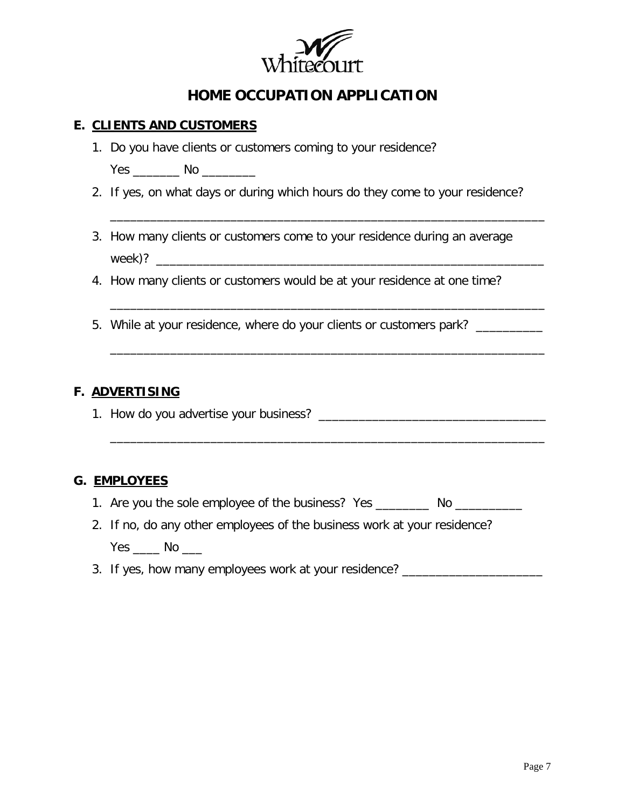

### **E. CLIENTS AND CUSTOMERS**

1. Do you have clients or customers coming to your residence?

Yes No No District No No District No. 1996.

2. If yes, on what days or during which hours do they come to your residence?

\_\_\_\_\_\_\_\_\_\_\_\_\_\_\_\_\_\_\_\_\_\_\_\_\_\_\_\_\_\_\_\_\_\_\_\_\_\_\_\_\_\_\_\_\_\_\_\_\_\_\_\_\_\_\_\_\_\_\_\_\_\_\_\_\_

\_\_\_\_\_\_\_\_\_\_\_\_\_\_\_\_\_\_\_\_\_\_\_\_\_\_\_\_\_\_\_\_\_\_\_\_\_\_\_\_\_\_\_\_\_\_\_\_\_\_\_\_\_\_\_\_\_\_\_\_\_\_\_\_\_

\_\_\_\_\_\_\_\_\_\_\_\_\_\_\_\_\_\_\_\_\_\_\_\_\_\_\_\_\_\_\_\_\_\_\_\_\_\_\_\_\_\_\_\_\_\_\_\_\_\_\_\_\_\_\_\_\_\_\_\_\_\_\_\_\_

\_\_\_\_\_\_\_\_\_\_\_\_\_\_\_\_\_\_\_\_\_\_\_\_\_\_\_\_\_\_\_\_\_\_\_\_\_\_\_\_\_\_\_\_\_\_\_\_\_\_\_\_\_\_\_\_\_\_\_\_\_\_\_\_\_

- 3. How many clients or customers come to your residence during an average week)? \_\_\_\_\_\_\_\_\_\_\_\_\_\_\_\_\_\_\_\_\_\_\_\_\_\_\_\_\_\_\_\_\_\_\_\_\_\_\_\_\_\_\_\_\_\_\_\_\_\_\_\_\_\_\_\_\_\_
- 4. How many clients or customers would be at your residence at one time?
- 5. While at your residence, where do your clients or customers park? \_\_\_\_\_\_\_\_\_\_\_

### **F. ADVERTISING**

1. How do you advertise your business? \_\_\_\_\_\_\_\_\_\_\_\_\_\_\_\_\_\_\_\_\_\_\_\_\_\_\_\_\_\_\_\_\_\_

### **G. EMPLOYEES**

- 1. Are you the sole employee of the business? Yes \_\_\_\_\_\_\_\_\_ No \_\_\_\_\_\_\_\_\_\_\_
- 2. If no, do any other employees of the business work at your residence? Yes \_\_\_\_ No \_\_\_
- 3. If yes, how many employees work at your residence? \_\_\_\_\_\_\_\_\_\_\_\_\_\_\_\_\_\_\_\_\_\_\_\_\_\_